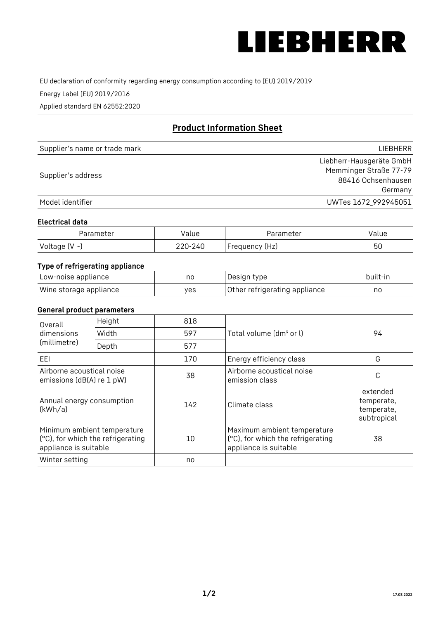

EU declaration of conformity regarding energy consumption according to (EU) 2019/2019

Energy Label (EU) 2019/2016

Applied standard EN 62552:2020

# **Product Information Sheet**

| Supplier's name or trade mark | LIEBHERR                 |
|-------------------------------|--------------------------|
|                               | Liebherr-Hausgeräte GmbH |
| Supplier's address            | Memminger Straße 77-79   |
|                               | 88416 Ochsenhausen       |
|                               | Germany                  |
| Model identifier              | UWTes 1672_992945051     |

#### **Electrical data**

| Parameter          | Value   | Parameter      | value |
|--------------------|---------|----------------|-------|
| Voltage $(V \sim)$ | 220-240 | Frequency (Hz) | 50    |

## **Type of refrigerating appliance**

| Low-noise appliance    | no  | Design type                   | built-in |
|------------------------|-----|-------------------------------|----------|
| Wine storage appliance | ves | Other refrigerating appliance | nc       |

## **General product parameters**

| Height<br>Overall                                                                         |       | 818 |                                                                                           |                                                     |
|-------------------------------------------------------------------------------------------|-------|-----|-------------------------------------------------------------------------------------------|-----------------------------------------------------|
| dimensions<br>(millimetre)                                                                | Width | 597 | Total volume (dm <sup>3</sup> or l)                                                       | 94                                                  |
|                                                                                           | Depth | 577 |                                                                                           |                                                     |
| EEL                                                                                       |       | 170 | Energy efficiency class                                                                   | G                                                   |
| Airborne acoustical noise<br>emissions (dB(A) re 1 pW)                                    |       | 38  | Airborne acoustical noise<br>emission class                                               | С                                                   |
| Annual energy consumption<br>(kWh/a)                                                      |       | 142 | Climate class                                                                             | extended<br>temperate,<br>temperate,<br>subtropical |
| Minimum ambient temperature<br>(°C), for which the refrigerating<br>appliance is suitable |       | 10  | Maximum ambient temperature<br>(°C), for which the refrigerating<br>appliance is suitable | 38                                                  |
| Winter setting                                                                            |       | no  |                                                                                           |                                                     |